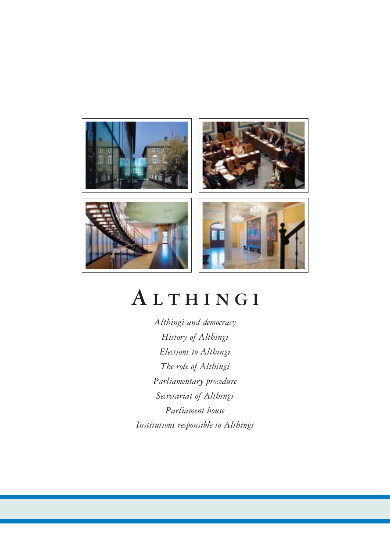

# **A LTHINGI**

*Althingi and democracy History of Althingi Elections to Althingi The role of Althingi Parliamentary procedure Secretariat of Althingi Parliament house Institutions responsible to Althingi*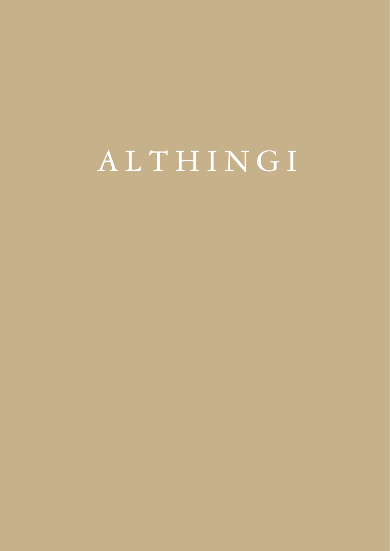# ALTHINGI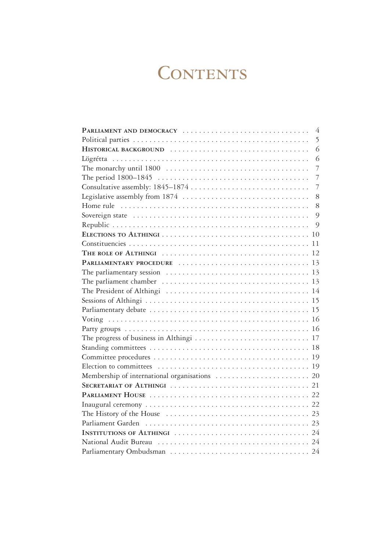# **CONTENTS**

| PARLIAMENT AND DEMOCRACY<br>$\overline{4}$         |
|----------------------------------------------------|
| 5                                                  |
| 6                                                  |
| 6                                                  |
| $\overline{7}$                                     |
| $\overline{7}$                                     |
| $\overline{7}$<br>Consultative assembly: 1845-1874 |
| Legislative assembly from 1874<br>8                |
| 8                                                  |
| 9                                                  |
| $\circ$                                            |
|                                                    |
|                                                    |
|                                                    |
|                                                    |
|                                                    |
|                                                    |
|                                                    |
|                                                    |
|                                                    |
|                                                    |
|                                                    |
|                                                    |
|                                                    |
|                                                    |
|                                                    |
|                                                    |
|                                                    |
|                                                    |
|                                                    |
|                                                    |
|                                                    |
|                                                    |
|                                                    |
|                                                    |
|                                                    |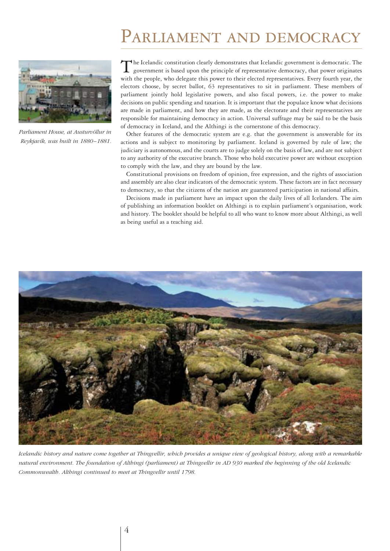# PARLIAMENT AND DEMOCRACY



*Parliament House, at Austurvöllur in Reykjavík, was built in 1880 –1881.*

The Icelandic constitution clearly demonstrates that Icelandic government is democratic. The government is based upon the principle of representative democracy, that power originates with the people, who delegate this power to their elected representatives. Every fourth year, the electors choose, by secret ballot, 63 representatives to sit in parliament. These members of parliament jointly hold legislative powers, and also fiscal powers, i.e. the power to make decisions on public spending and taxation. It is important that the populace know what decisions are made in parliament, and how they are made, as the electorate and their representatives are responsible for maintaining democracy in action. Universal suffrage may be said to be the basis of democracy in Iceland, and the Althingi is the cornerstone of this democracy.

Other features of the democratic system are e.g. that the government is answerable for its actions and is subject to monitoring by parliament. Iceland is governed by rule of law; the judiciary is autonomous, and the courts are to judge solely on the basis of law, and are not subject to any authority of the executive branch. Those who hold executive power are without exception to comply with the law, and they are bound by the law.

Constitutional provisions on freedom of opinion, free expression, and the rights of association and assembly are also clear indicators of the democratic system. These factors are in fact necessary to democracy, so that the citizens of the nation are guaranteed participation in national affairs.

Decisions made in parliament have an impact upon the daily lives of all Icelanders. The aim of publishing an information booklet on Althingi is to explain parliament's organisation, work and history. The booklet should be helpful to all who want to know more about Althingi, as well as being useful as a teaching aid.



*Icelandic history and nature come together at Thingvellir, which provides a unique view of geological history, along with a remarkable natural environment. The foundation of Althingi (parliament) at Thingvellir in AD 930 marked the beginning of the old Icelandic Commonwealth. Althingi continued to meet at Thingvellir until 1798.*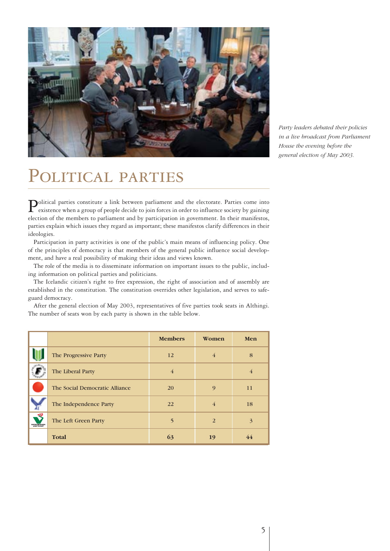

*Party leaders debated their policies in a live broadcast from Parliament House the evening before the general election of May 2003.*

# POLITICAL PARTIES

Political parties constitute a link between parliament and the electorate. Parties come into existence when a group of people decide to join forces in order to influence society by gaining election of the members to parliament and by participation in government. In their manifestos, parties explain which issues they regard as important; these manifestos clarify differences in their ideologies.

Participation in party activities is one of the public's main means of influencing policy. One of the principles of democracy is that members of the general public influence social development, and have a real possibility of making their ideas and views known.

The role of the media is to disseminate information on important issues to the public, including information on political parties and politicians.

The Icelandic citizen's right to free expression, the right of association and of assembly are established in the constitution. The constitution overrides other legislation, and serves to safeguard democracy.

After the general election of May 2003, representatives of five parties took seats in Althingi. The number of seats won by each party is shown in the table below.

|                              |                                | <b>Members</b> | Women          | Men            |
|------------------------------|--------------------------------|----------------|----------------|----------------|
|                              | The Progressive Party          | 12             | $\overline{4}$ | 8              |
|                              | The Liberal Party              | $\overline{4}$ |                | $\overline{4}$ |
|                              | The Social Democratic Alliance | <b>20</b>      | $\mathbf Q$    | 11             |
|                              | The Independence Party         | 22             | $\overline{4}$ | 18             |
| -2<br><b>VINSTRIMREYFING</b> | The Left Green Party           | $\overline{5}$ | 2              | 3              |
|                              | <b>Total</b>                   | 63             | 19             | 44             |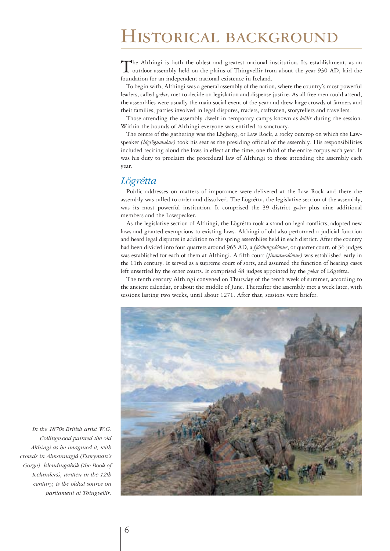# Historical background

The Althingi is both the oldest and greatest national institution. Its establishment, as an outdoor assembly held on the plains of Thingvellir from about the year 930 AD, laid the foundation for an independent national existence in Iceland.

To begin with, Althingi was a general assembly of the nation, where the country's most powerful leaders, called *goðar*, met to decide on legislation and dispense justice. As all free men could attend, the assemblies were usually the main social event of the year and drew large crowds of farmers and their families, parties involved in legal disputes, traders, craftsmen, storytellers and travellers.

Those attending the assembly dwelt in temporary camps known as *búðir* during the session. Within the bounds of Althingi everyone was entitled to sanctuary.

The centre of the gathering was the Lögberg, or Law Rock, a rocky outcrop on which the Lawspeaker *(lögsögumaður)* took his seat as the presiding official of the assembly. His responsibilities included reciting aloud the laws in effect at the time, one third of the entire corpus each year. It was his duty to proclaim the procedural law of Althingi to those attending the assembly each year.

### *Lögrétta*

Public addresses on matters of importance were delivered at the Law Rock and there the assembly was called to order and dissolved. The Lögrétta, the legislative section of the assembly, was its most powerful institution. It comprised the 39 district *goðar* plus nine additional members and the Lawspeaker.

As the legislative section of Althingi, the Lögrétta took a stand on legal conflicts, adopted new laws and granted exemptions to existing laws. Althingi of old also performed a judicial function and heard legal disputes in addition to the spring assemblies held in each district. After the country had been divided into four quarters around 965 AD, a *fjórðungsdómur*, or quarter court, of 36 judges was established for each of them at Althingi. A fifth court *(fimmtardómur)* was established early in the 11th century. It served as a supreme court of sorts, and assumed the function of hearing cases left unsettled by the other courts. It comprised 48 judges appointed by the *goðar* of Lögrétta.

The tenth century Althingi convened on Thursday of the tenth week of summer, according to the ancient calendar, or about the middle of June. Thereafter the assembly met a week later, with sessions lasting two weeks, until about 1271. After that, sessions were briefer.



*In the 1870s British artist W.G. Collingwood painted the old Althingi as he imagined it, with crowds in Almannagjá (Everyman's Gorge). Íslendingabók (the Book of Icelanders), written in the 12th century, is the oldest source on parliament at Thingvellir.*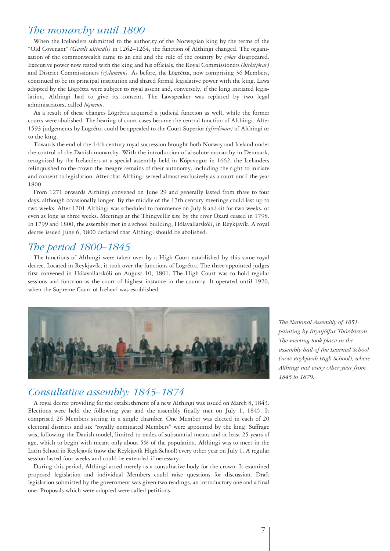## *The monarchy until 1800*

When the Icelanders submitted to the authority of the Norwegian king by the terms of the "Old Covenant" *(Gamli sáttmáli)* in 1262–1264, the function of Althingi changed. The organisation of the commonwealth came to an end and the rule of the country by *goðar* disappeared. Executive power now rested with the king and his officials, the Royal Commissioners *(hirðstjórar)* and District Commissioners *(sýslumenn).* As before, the Lögrétta, now comprising 36 Members, continued to be its principal institution and shared formal legislative power with the king. Laws adopted by the Lögrétta were subject to royal assent and, conversely, if the king initiated legislation, Althingi had to give its consent. The Lawspeaker was replaced by two legal administrators, called *lögmenn*.

As a result of these changes Lögrétta acquired a judicial function as well, while the former courts were abolished. The hearing of court cases became the central function of Althingi. After 1593 judgements by Lögrétta could be appealed to the Court Superior *(yfirdómur)* of Althingi or to the king.

Towards the end of the 14th century royal succession brought both Norway and Iceland under the control of the Danish monarchy. With the introduction of absolute monarchy in Denmark, recognised by the Icelanders at a special assembly held in Kópavogur in 1662, the Icelanders relinquished to the crown the meagre remains of their autonomy, including the right to initiate and consent to legislation. After that Althingi served almost exclusively as a court until the year 1800.

From 1271 onwards Althingi convened on June 29 and generally lasted from three to four days, although occasionally longer. By the middle of the 17th century meetings could last up to two weeks. After 1701 Althingi was scheduled to commence on July 8 and sit for two weeks, or even as long as three weeks. Meetings at the Thingvellir site by the river Öxará ceased in 1798. In 1799 and 1800, the assembly met in a school building, Hólavallarskóli, in Reykjavík. A royal decree issued June 6, 1800 declared that Althingi should be abolished.

# *The period 1800–1845*

The functions of Althingi were taken over by a High Court established by this same royal decree. Located in Reykjavík, it took over the functions of Lögrétta. The three appointed judges first convened in Hólavallarskóli on August 10, 1801. The High Court was to hold regular sessions and function as the court of highest instance in the country. It operated until 1920, when the Supreme Court of Iceland was established.



### *Consultative assembly: 1845–1874*

A royal decree providing for the establishment of a new Althingi was issued on March 8, 1843. Elections were held the following year and the assembly finally met on July 1, 1845. It comprised 26 Members sitting in a single chamber. One Member was elected in each of 20 electoral districts and six "royally nominated Members" were appointed by the king. Suffrage was, following the Danish model, limited to males of substantial means and at least 25 years of age, which to begin with meant only about 5% of the population. Althingi was to meet in the Latin School in Reykjavík (now the Reykjavík High School) every other year on July 1. A regular session lasted four weeks and could be extended if necessary.

During this period, Althingi acted merely as a consultative body for the crown. It examined proposed legislation and individual Members could raise questions for discussion. Draft legislation submitted by the government was given two readings, an introductory one and a final one. Proposals which were adopted were called petitions.

*The National Assembly of 1851: painting by Brynjólfur Thórdarson. The meeting took place in the assembly hall of the Learned School (now Reykjavík High School), where Althingi met every other year from 1845 to 1879.*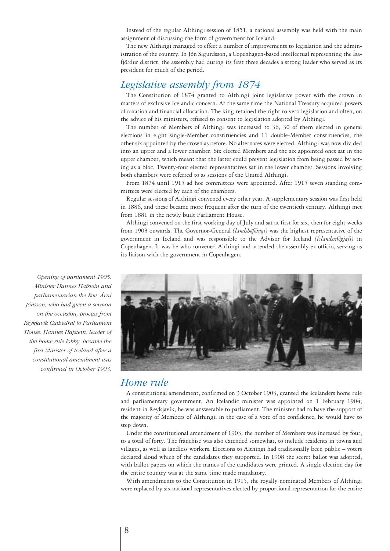Instead of the regular Althingi session of 1851, a national assembly was held with the main assignment of discussing the form of government for Iceland.

The new Althingi managed to effect a number of improvements to legislation and the administration of the country. In Jón Sigurdsson, a Copenhagen-based intellectual representing the Ísafjördur district, the assembly had during its first three decades a strong leader who served as its president for much of the period.

# *Legislative assembly from 1874*

The Constitution of 1874 granted to Althingi joint legislative power with the crown in matters of exclusive Icelandic concern. At the same time the National Treasury acquired powers of taxation and financial allocation. The king retained the right to veto legislation and often, on the advice of his ministers, refused to consent to legislation adopted by Althingi.

The number of Members of Althingi was increased to 36, 30 of them elected in general elections in eight single-Member constituencies and 11 double-Member constituencies, the other six appointed by the crown as before. No alternates were elected. Althingi was now divided into an upper and a lower chamber. Six elected Members and the six appointed ones sat in the upper chamber, which meant that the latter could prevent legislation from being passed by acting as a bloc. Twenty-four elected representatives sat in the lower chamber. Sessions involving both chambers were referred to as sessions of the United Althingi.

From 1874 until 1915 ad hoc committees were appointed. After 1915 seven standing committees were elected by each of the chambers.

Regular sessions of Althingi convened every other year. A supplementary session was first held in 1886, and these became more frequent after the turn of the twentieth century. Althingi met from 1881 in the newly built Parliament House.

Althingi convened on the first working day of July and sat at first for six, then for eight weeks from 1903 onwards. The Governor-General *(landshöfðingi)* was the highest representative of the government in Iceland and was responsible to the Advisor for Iceland *(Íslandsráðgjafi)* in Copenhagen. It was he who convened Althingi and attended the assembly ex officio, serving as its liaison with the government in Copenhagen.



#### *Home rule*

A constitutional amendment, confirmed on 3 October 1903, granted the Icelanders home rule and parliamentary government. An Icelandic minister was appointed on 1 February 1904; resident in Reykjavík, he was answerable to parliament. The minister had to have the support of the majority of Members of Althingi; in the case of a vote of no confidence, he would have to step down.

Under the constitutional amendment of 1903, the number of Members was increased by four, to a total of forty. The franchise was also extended somewhat, to include residents in towns and villages, as well as landless workers. Elections to Althingi had traditionally been public – voters declared aloud which of the candidates they supported. In 1908 the secret ballot was adopted, with ballot papers on which the names of the candidates were printed. A single election day for the entire country was at the same time made mandatory.

With amendments to the Constitution in 1915, the royally nominated Members of Althingi were replaced by six national representatives elected by proportional representation for the entire

*Opening of parliament 1905. Minister Hannes Hafstein and parliamentarian the Rev. Árni Jónsson, who had given a sermon on the occasion, process from Reykjavík Cathedral to Parliament House. Hannes Hafstein, leader of the home rule lobby, became the first Minister of Iceland after a constitutional amendment was confirmed in October 1903.*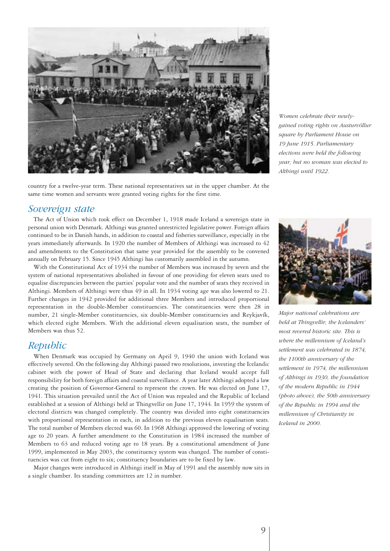

*Women celebrate their newlygained voting rights on Austurvöllur square by Parliament House on 19 June 1915. Parliamentary elections were held the following year, but no woman was elected to Althingi until 1922.*

#### country for a twelve-year term. These national representatives sat in the upper chamber. At the same time women and servants were granted voting rights for the first time.

#### *Sovereign state*

The Act of Union which took effect on December 1, 1918 made Iceland a sovereign state in personal union with Denmark. Althingi was granted unrestricted legislative power. Foreign affairs continued to be in Danish hands, in addition to coastal and fisheries surveillance, especially in the years immediately afterwards. In 1920 the number of Members of Althingi was increased to 42 and amendments to the Constitution that same year provided for the assembly to be convened annually on February 15. Since 1945 Althingi has customarily assembled in the autumn.

With the Constitutional Act of 1934 the number of Members was increased by seven and the system of national representatives abolished in favour of one providing for eleven seats used to equalise discrepancies between the parties' popular vote and the number of seats they received in Althingi. Members of Althingi were thus 49 in all. In 1934 voting age was also lowered to 21. Further changes in 1942 provided for additional three Members and introduced proportional representation in the double-Member constituencies. The constituencies were then 28 in number, 21 single-Member constituencies, six double-Member constituencies and Reykjavík, which elected eight Members. With the additional eleven equalisation seats, the number of Members was thus 52.

### *Republic*

When Denmark was occupied by Germany on April 9, 1940 the union with Iceland was effectively severed. On the following day Althingi passed two resolutions, investing the Icelandic cabinet with the power of Head of State and declaring that Iceland would accept full responsibility for both foreign affairs and coastal surveillance. A year later Althingi adopted a law creating the position of Governor-General to represent the crown. He was elected on June 17, 1941. This situation prevailed until the Act of Union was repealed and the Republic of Iceland established at a session of Althingi held at Thingvellir on June 17, 1944. In 1959 the system of electoral districts was changed completely. The country was divided into eight constituencies with proportional representation in each, in addition to the previous eleven equalisation seats. The total number of Members elected was 60. In 1968 Althingi approved the lowering of voting age to 20 years. A further amendment to the Constitution in 1984 increased the number of Members to 63 and reduced voting age to 18 years. By a constitutional amendment of June 1999, implemented in May 2003, the constituency system was changed. The number of constituencies was cut from eight to six; constituency boundaries are to be fixed by law.

Major changes were introduced in Althingi itself in May of 1991 and the assembly now sits in a single chamber. Its standing committees are 12 in number.



*Major national celebrations are held at Thingvellir, the Icelanders' most revered historic site. This is where the millennium of Iceland's settlement was celebrated in 1874, the 1100th anniversary of the settlement in 1974, the millennium of Althingi in 1930, the foundation of the modern Republic in 1944 (photo above), the 50th anniversary of the Republic in 1994 and the millennium of Christianity in Iceland in 2000.*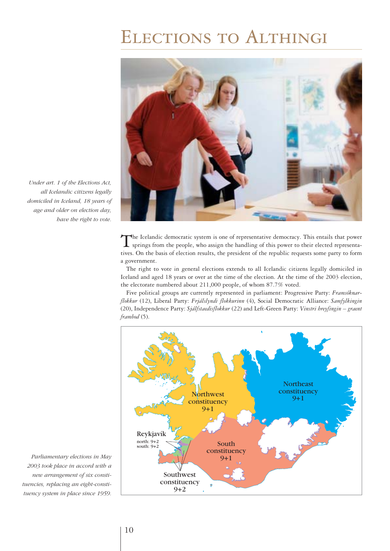# Elections to Althingi



*Under art. 1 of the Elections Act, all Icelandic citizens legally domiciled in Iceland, 18 years of age and older on election day, have the right to vote.*

> The Icelandic democratic system is one of representative democracy. This entails that power<br>springs from the people, who assign the handling of this power to their elected representatives. On the basis of election results, the president of the republic requests some party to form a government.

> The right to vote in general elections extends to all Icelandic citizens legally domiciled in Iceland and aged 18 years or over at the time of the election. At the time of the 2003 election, the electorate numbered about 211,000 people, of whom 87.7% voted.

> Five political groups are currently represented in parliament: Progressive Party: *Framsóknarflokkur* (12), Liberal Party: *Frjálslyndi flokkurinn* (4), Social Democratic Alliance: *Samfylkingin* (20), Independence Party: *Sjálfstaedisflokkur* (22) and Left-Green Party: *Vinstri hreyfingin – graent frambod* (5).



*Parliamentary elections in May 2003 took place in accord with a new arrangement of six constituencies, replacing an eight-constituency system in place since 1959.*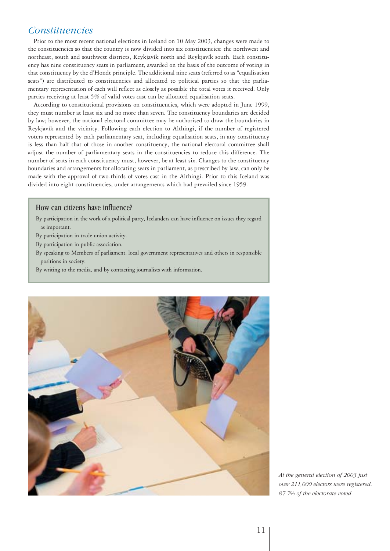### *Constituencies*

Prior to the most recent national elections in Iceland on 10 May 2003, changes were made to the constituencies so that the country is now divided into six constituencies: the northwest and northeast, south and southwest districts, Reykjavík north and Reykjavík south. Each constituency has nine constituency seats in parliament, awarded on the basis of the outcome of voting in that constituency by the d'Hondt principle. The additional nine seats (referred to as "equalisation seats") are distributed to constituencies and allocated to political parties so that the parliamentary representation of each will reflect as closely as possible the total votes it received. Only parties receiving at least 5% of valid votes cast can be allocated equalisation seats.

According to constitutional provisions on constituencies, which were adopted in June 1999, they must number at least six and no more than seven. The constituency boundaries are decided by law; however, the national electoral committee may be authorised to draw the boundaries in Reykjavík and the vicinity. Following each election to Althingi, if the number of registered voters represented by each parliamentary seat, including equalisation seats, in any constituency is less than half that of those in another constituency, the national electoral committee shall adjust the number of parliamentary seats in the constituencies to reduce this difference. The number of seats in each constituency must, however, be at least six. Changes to the constituency boundaries and arrangements for allocating seats in parliament, as prescribed by law, can only be made with the approval of two-thirds of votes cast in the Althingi. Prior to this Iceland was divided into eight constituencies, under arrangements which had prevailed since 1959.

#### How can citizens have influence?

- By participation in the work of a political party, Icelanders can have influence on issues they regard as important.
- By participation in trade union activity.
- By participation in public association.
- By speaking to Members of parliament, local government representatives and others in responsible positions in society.
- By writing to the media, and by contacting journalists with information.



*At the general election of 2003 just over 211,000 electors were registered. 87.7% of the electorate voted.*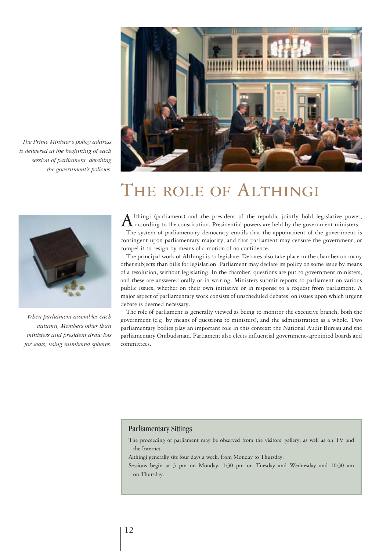

*The Prime Minister's policy address is delivered at the beginning of each session of parliament, detailing the government's policies.*

*When parliament assembles each autumn, Members other than ministers and president draw lots for seats, using numbered spheres.*

# THE ROLE OF ALTHINGI

A Ithingi (parliament) and the president of the republic jointly hold legislative power;<br>according to the constitution. Presidential powers are held by the government ministers. The system of parliamentary democracy entails that the appointment of the government is contingent upon parliamentary majority, and that parliament may censure the government, or compel it to resign by means of a motion of no confidence.

The principal work of Althingi is to legislate. Debates also take place in the chamber on many other subjects than bills for legislation. Parliament may declare its policy on some issue by means of a resolution, without legislating. In the chamber, questions are put to government ministers, and these are answered orally or in writing. Ministers submit reports to parliament on various public issues, whether on their own initiative or in response to a request from parliament. A major aspect of parliamentary work consists of unscheduled debates, on issues upon which urgent debate is deemed necessary.

The role of parliament is generally viewed as being to monitor the executive branch, both the government (e.g. by means of questions to ministers), and the administration as a whole. Two parliamentary bodies play an important role in this context: the National Audit Bureau and the parliamentary Ombudsman. Parliament also elects influential government-appointed boards and committees.

#### Parliamentary Sittings

The proceeding of parliament may be observed from the visitors' gallery, as well as on TV and the Internet.

Althingi generally sits four days a week, from Monday to Thursday.

Sessions begin at 3 pm on Monday, 1:30 pm on Tuesday and Wednesday and 10:30 am on Thursday.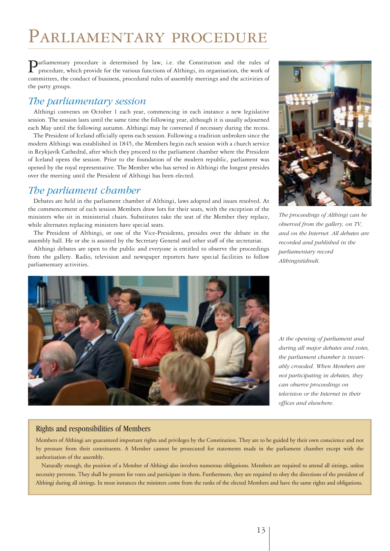# Parliamentary procedure

Parliamentary procedure is determined by law, i.e. the Constitution and the rules of procedure, which provide for the various functions of Althingi, its organisation, the work of committees, the conduct of business, procedural rules of assembly meetings and the activities of the party groups.

# *The parliamentary session*

Althingi convenes on October 1 each year, commencing in each instance a new legislative session. The session lasts until the same time the following year, although it is usually adjourned each May until the following autumn. Althingi may be convened if necessary during the recess.

The President of Iceland officially opens each session. Following a tradition unbroken since the modern Althingi was established in 1845, the Members begin each session with a church service in Reykjavík Cathedral, after which they proceed to the parliament chamber where the President of Iceland opens the session. Prior to the foundation of the modern republic, parliament was opened by the royal representative. The Member who has served in Althingi the longest presides over the meeting until the President of Althingi has been elected.

# *The parliament chamber*

Debates are held in the parliament chamber of Althingi, laws adopted and issues resolved. At the commencement of each session Members draw lots for their seats, with the exception of the ministers who sit in ministerial chairs. Substitutes take the seat of the Member they replace, while alternates replacing ministers have special seats.

The President of Althingi, or one of the Vice-Presidents, presides over the debate in the assembly hall. He or she is assisted by the Secretary General and other staff of the secretariat.

Althingi debates are open to the public and everyone is entitled to observe the proceedings from the gallery. Radio, television and newspaper reporters have special facilities to follow parliamentary activities.



*The proceedings of Althingi can be observed from the gallery, on TV, and on the Internet. All debates are recorded and published in the parliamentary record Althingistídindi.*



*At the opening of parliament and during all major debates and votes, the parliament chamber is invariably crowded. When Members are not participating in debates, they can observe proceedings on television or the Internet in their offices and elsewhere.*

#### Rights and responsibilities of Members

Members of Althingi are guaranteed important rights and privileges by the Constitution. They are to be guided by their own conscience and not by pressure from their constituents. A Member cannot be prosecuted for statements made in the parliament chamber except with the authorisation of the assembly.

Naturally enough, the position of a Member of Althingi also involves numerous obligations. Members are required to attend all sittings, unless necessity prevents. They shall be present for votes and participate in them. Furthermore, they are required to obey the directions of the president of Althingi during all sittings. In most instances the ministers come from the ranks of the elected Members and have the same rights and obligations.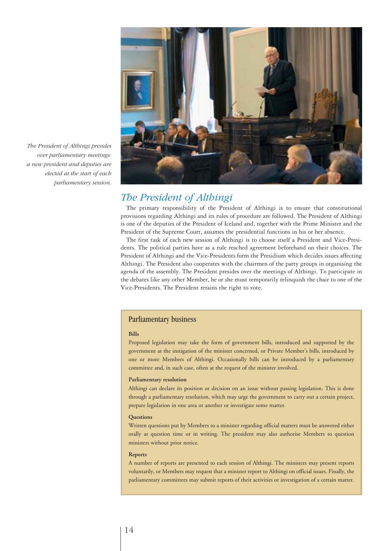

*The President of Althingi presides over parliamentary meetings: a new president and deputies are elected at the start of each parliamentary session.*

### *The President of Althingi*

The primary responsibility of the President of Althingi is to ensure that constitutional provisions regarding Althingi and its rules of procedure are followed. The President of Althingi is one of the deputies of the President of Iceland and, together with the Prime Minister and the President of the Supreme Court, assumes the presidential functions in his or her absence.

The first task of each new session of Althingi is to choose itself a President and Vice-Presidents. The political parties have as a rule reached agreement beforehand on their choices. The President of Althingi and the Vice-Presidents form the Presidium which decides issues affecting Althingi. The President also cooperates with the chairmen of the party groups in organising the agenda of the assembly. The President presides over the meetings of Althingi. To participate in the debates like any other Member, he or she must temporarily relinquish the chair to one of the Vice-Presidents. The President retains the right to vote.

#### Parliamentary business

#### **Bills**

Proposed legislation may take the form of government bills, introduced and supported by the government at the instigation of the minister concerned, or Private Member's bills, introduced by one or more Members of Althingi. Occasionally bills can be introduced by a parliamentary committee and, in such case, often at the request of the minister involved.

#### **Parliamentary resolution**

Althingi can declare its position or decision on an issue without passing legislation. This is done through a parliamentary resolution, which may urge the government to carry out a certain project, prepare legislation in one area or another or investigate some matter.

#### **Questions**

Written questions put by Members to a minister regarding official matters must be answered either orally at question time or in writing. The president may also authorise Members to question ministers without prior notice.

#### **Reports**

A number of reports are presented to each session of Althingi. The ministers may present reports voluntarily, or Members may request that a minister report to Althingi on official issues. Finally, the parliamentary committees may submit reports of their activities or investigation of a certain matter.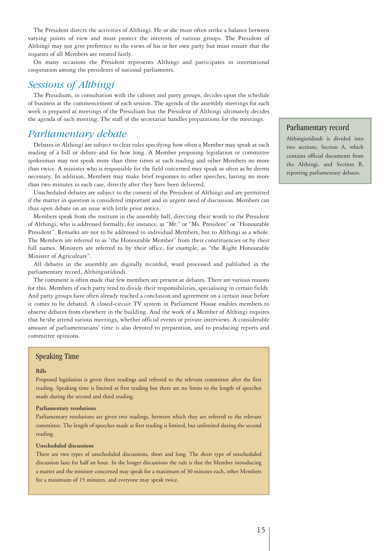The President directs the activities of Althingi. He or she must often strike a balance between varying points of view and must protect the interests of various groups. The President of Althingi may not give preference to the views of his or her own party but must ensure that the requests of all Members are treated fairly.

On many occasions the President represents Althingi and participates in international cooperation among the presidents of national parliaments.

#### *Sessions of Althingi*

The Presidium, in consultation with the cabinet and party groups, decides upon the schedule of business at the commencement of each session. The agenda of the assembly meetings for each week is prepared at meetings of the Presidium but the President of Althingi ultimately decides the agenda of each meeting. The staff of the secretariat handles preparations for the meetings.

### *Parliamentary debate*

Debates in Althingi are subject to clear rules specifying how often a Member may speak at each reading of a bill or debate and for how long. A Member proposing legislation or committee spokesman may not speak more than three times at each reading and other Members no more than twice. A minister who is responsible for the field concerned may speak as often as he deems necessary. In addition, Members may make brief responses to other speeches, lasting no more than two minutes in each case, directly after they have been delivered.

Unscheduled debates are subject to the consent of the President of Althingi and are permitted if the matter in question is considered important and in urgent need of discussion. Members can thus open debate on an issue with little prior notice.

Members speak from the rostrum in the assembly hall, directing their words to the President of Althingi, who is addressed formally, for instance, as "Mr." or "Ms. President" or "Honourable President". Remarks are not to be addressed to individual Members, but to Althingi as a whole. The Members are referred to as "the Honourable Member" from their constituencies or by their full names. Ministers are referred to by their office, for example, as "the Right Honourable Minister of Agriculture".

All debates in the assembly are digitally recorded, word processed and published in the parliamentary record, Althingistídindi.

The comment is often made that few members are present at debates. There are various reasons for this. Members of each party tend to divide their responsibilities, specialising in certain fields. And party groups have often already reached a conclusion and agreement on a certain issue before it comes to be debated. A closed-circuit TV system in Parliament House enables members to observe debates from elsewhere in the building. And the work of a Member of Althingi requires that he/she attend various meetings, whether official events or private interviews. A considerable amount of parliamentarians' time is also devoted to preparation, and to producing reports and committee opinions.

#### Speaking Time

#### **Bills**

Proposed legislation is given three readings and referred to the relevant committee after the first reading. Speaking time is limited at first reading but there are no limits to the length of speeches made during the second and third reading.

#### **Parliamentary resolutions**

Parliamentary resolutions are given two readings, between which they are referred to the relevant committee. The length of speeches made at first reading is limited, but unlimited during the second reading.

#### **Unscheduled discussions**

There are two types of unscheduled discussions, short and long. The short type of unscheduled discussion lasts for half an hour. In the longer discussions the rule is that the Member introducing a matter and the minister concerned may speak for a maximum of 30 minutes each, other Members for a maximum of 15 minutes, and everyone may speak twice.

#### Parliamentary record

Althingistídindi is divided into two sections, Section A, which contains official documents from the Althingi, and Section B, reporting parliamentary debates.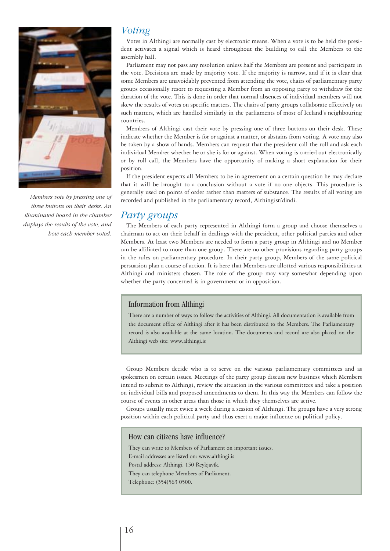

*Members vote by pressing one of three buttons on their desks. An illuminated board in the chamber displays the results of the vote, and how each member voted.*

### *Voting*

Votes in Althingi are normally cast by electronic means. When a vote is to be held the president activates a signal which is heard throughout the building to call the Members to the assembly hall.

Parliament may not pass any resolution unless half the Members are present and participate in the vote. Decisions are made by majority vote. If the majority is narrow, and if it is clear that some Members are unavoidably prevented from attending the vote, chairs of parliamentary party groups occasionally resort to requesting a Member from an opposing party to withdraw for the duration of the vote. This is done in order that normal absences of individual members will not skew the results of votes on specific matters. The chairs of party groups collaborate effectively on such matters, which are handled similarly in the parliaments of most of Iceland's neighbouring countries.

Members of Althingi cast their vote by pressing one of three buttons on their desk. These indicate whether the Member is for or against a matter, or abstains from voting. A vote may also be taken by a show of hands. Members can request that the president call the roll and ask each individual Member whether he or she is for or against. When voting is carried out electronically or by roll call, the Members have the opportunity of making a short explanation for their position.

If the president expects all Members to be in agreement on a certain question he may declare that it will be brought to a conclusion without a vote if no one objects. This procedure is generally used on points of order rather than matters of substance. The results of all voting are recorded and published in the parliamentary record, Althingistídindi.

#### *Party groups*

The Members of each party represented in Althingi form a group and choose themselves a chairman to act on their behalf in dealings with the president, other political parties and other Members. At least two Members are needed to form a party group in Althingi and no Member can be affiliated to more than one group. There are no other provisions regarding party groups in the rules on parliamentary procedure. In their party group, Members of the same political persuasion plan a course of action. It is here that Members are allotted various responsibilities at Althingi and ministers chosen. The role of the group may vary somewhat depending upon whether the party concerned is in government or in opposition.

#### Information from Althingi

There are a number of ways to follow the activities of Althingi. All documentation is available from the document office of Althingi after it has been distributed to the Members. The Parliamentary record is also available at the same location. The documents and record are also placed on the Althingi web site: www.althingi.is

Group Members decide who is to serve on the various parliamentary committees and as spokesmen on certain issues. Meetings of the party group discuss new business which Members intend to submit to Althingi, review the situation in the various committees and take a position on individual bills and proposed amendments to them. In this way the Members can follow the course of events in other areas than those in which they themselves are active.

Groups usually meet twice a week during a session of Althingi. The groups have a very strong position within each political party and thus exert a major influence on political policy.

#### How can citizens have influence?

They can write to Members of Parliament on important issues. E-mail addresses are listed on: www.althingi.is Postal address: Althingi, 150 Reykjavík. They can telephone Members of Parliament. Telephone: (354)563 0500.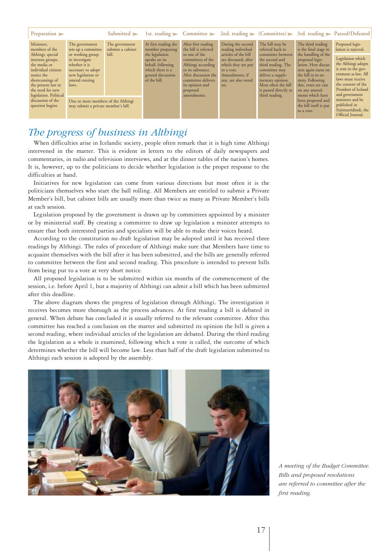| Preparation $\blacktriangleright$                                                                                                                                                                                                       |                                                                                                                                                                                                            | Submitted $\blacktriangleright$              |                                                                                                                                                             |                                                                                                                                                                                                                          |                                                                                                                                                                             |                                                                                                                                                                                                                              |                                                                                                                                                                                                                                                                   | 1st. reading > Committee > 2nd. reading > (Committee) > 3rd. reading > Passed/Defeated                                                                                                                                                    |
|-----------------------------------------------------------------------------------------------------------------------------------------------------------------------------------------------------------------------------------------|------------------------------------------------------------------------------------------------------------------------------------------------------------------------------------------------------------|----------------------------------------------|-------------------------------------------------------------------------------------------------------------------------------------------------------------|--------------------------------------------------------------------------------------------------------------------------------------------------------------------------------------------------------------------------|-----------------------------------------------------------------------------------------------------------------------------------------------------------------------------|------------------------------------------------------------------------------------------------------------------------------------------------------------------------------------------------------------------------------|-------------------------------------------------------------------------------------------------------------------------------------------------------------------------------------------------------------------------------------------------------------------|-------------------------------------------------------------------------------------------------------------------------------------------------------------------------------------------------------------------------------------------|
| Ministers,<br>members of the<br>Althingi, special<br>interests groups,<br>the media or<br>individual citizens<br>notice the<br>shortcomings of<br>the present law or<br>the need for new<br>legislation. Political<br>discussion of the | The government<br>sets up a committee<br>or working group<br>to investigate<br>whether it is<br>necessary to adopt<br>new legislation or<br>amend existing<br>laws.<br>One or more members of the Althingi | The government<br>submits a cabinet<br>bill. | At first reading the<br>member proposing<br>the legislation<br>speaks on its<br>behalf, following<br>which there is a<br>general discussion<br>of the bill. | After first reading<br>the bill is referred<br>to one of the<br>committees of the<br>Althingi according<br>to its substance.<br>After discussion the<br>committee delivers<br>its opinion and<br>proposed<br>amendments. | During the second<br>reading individual<br>articles of the bill<br>are discussed, after<br>which they are put<br>to a vote.<br>Amendments, if<br>any, are also voted<br>on. | The bill may be<br>referred back to<br>committee between<br>the second and<br>third reading. The<br>committee may<br>deliver a supple-<br>mentary opinion.<br>Most often the bill<br>is passed directly to<br>third reading. | The third reading<br>is the final stage in<br>the handling of the<br>proposed legis-<br>lation. Here discus-<br>sion again turns on<br>the bill in its en-<br>tirety. Following<br>this, votes are cast<br>on any amend-<br>ments which have<br>been proposed and | Proposed legis-<br>lation is rejected.<br>Legislation which<br>the Althingi adopts<br>is sent to the gov-<br>ernment as law. All<br>laws must receive<br>the consent of the<br>President of Iceland<br>and government<br>ministers and be |
| question begins.                                                                                                                                                                                                                        | may submit a private member's bill.                                                                                                                                                                        |                                              |                                                                                                                                                             |                                                                                                                                                                                                                          |                                                                                                                                                                             | the bill itself is put<br>to a vote.                                                                                                                                                                                         | published in<br>Stjórnartídindi, the<br>Official Journal.                                                                                                                                                                                                         |                                                                                                                                                                                                                                           |

# *The progress of business in Althingi*

When difficulties arise in Icelandic society, people often remark that it is high time Althingi intervened in the matter. This is evident in letters to the editors of daily newspapers and commentaries, in radio and television interviews, and at the dinner tables of the nation's homes. It is, however, up to the politicians to decide whether legislation is the proper response to the difficulties at hand.

Initiatives for new legislation can come from various directions but most often it is the politicians themselves who start the ball rolling. All Members are entitled to submit a Private Member's bill, but cabinet bills are usually more than twice as many as Private Member's bills at each session.

Legislation proposed by the government is drawn up by committees appointed by a minister or by ministerial staff. By creating a committee to draw up legislation a minister attempts to ensure that both interested parties and specialists will be able to make their voices heard.

According to the constitution no draft legislation may be adopted until it has received three readings by Althingi. The rules of procedure of Althingi make sure that Members have time to acquaint themselves with the bill after it has been submitted, and the bills are generally referred to committee between the first and second reading. This procedure is intended to prevent bills from being put to a vote at very short notice.

All proposed legislation is to be submitted within six months of the commencement of the session, i.e. before April 1, but a majority of Althingi can admit a bill which has been submitted after this deadline.

The above diagram shows the progress of legislation through Althingi. The investigation it receives becomes more thorough as the process advances. At first reading a bill is debated in general. When debate has concluded it is usually referred to the relevant committee. After this committee has reached a conclusion on the matter and submitted its opinion the bill is given a second reading, where individual articles of the legislation are debated. During the third reading the legislation as a whole is examined, following which a vote is called, the outcome of which determines whether the bill will become law. Less than half of the draft legislation submitted to Althingi each session is adopted by the assembly.



*A meeting of the Budget Committee. Bills and proposed resolutions are referred to committee after the first reading.*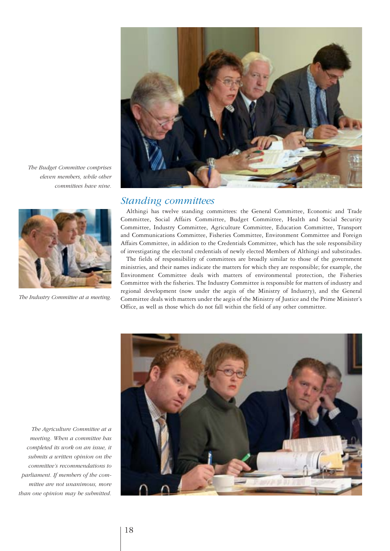

*The Budget Committee comprises eleven members, while other committees have nine.*



*The Industry Committee at a meeting.* 

#### *Standing committees*

Althingi has twelve standing committees: the General Committee, Economic and Trade Committee, Social Affairs Committee, Budget Committee, Health and Social Security Committee, Industry Committee, Agriculture Committee, Education Committee, Transport and Communications Committee, Fisheries Committee, Environment Committee and Foreign Affairs Committee, in addition to the Credentials Committee, which has the sole responsibility of investigating the electoral credentials of newly elected Members of Althingi and substitudes.

The fields of responsibility of committees are broadly similar to those of the government ministries, and their names indicate the matters for which they are responsible; for example, the Environment Committee deals with matters of environmental protection, the Fisheries Committee with the fisheries. The Industry Committee is responsible for matters of industry and regional development (now under the aegis of the Ministry of Industry), and the General Committee deals with matters under the aegis of the Ministry of Justice and the Prime Minister's Office, as well as those which do not fall within the field of any other committee.

*The Agriculture Committee at a meeting. When a committee has completed its work on an issue, it submits a written opinion on the committee's recommendations to parliament. If members of the committee are not unanimous, more than one opinion may be submitted.*

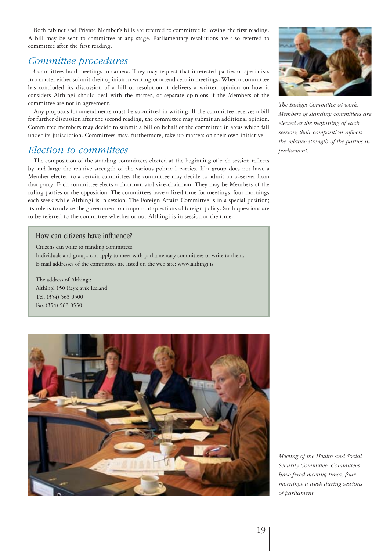Both cabinet and Private Member's bills are referred to committee following the first reading. A bill may be sent to committee at any stage. Parliamentary resolutions are also referred to committee after the first reading.

### *Committee procedures*

Committees hold meetings in camera. They may request that interested parties or specialists in a matter either submit their opinion in writing or attend certain meetings. When a committee has concluded its discussion of a bill or resolution it delivers a written opinion on how it considers Althingi should deal with the matter, or separate opinions if the Members of the committee are not in agreement.

Any proposals for amendments must be submitted in writing. If the committee receives a bill for further discussion after the second reading, the committee may submit an additional opinion. Committee members may decide to submit a bill on behalf of the committee in areas which fall under its jurisdiction. Committees may, furthermore, take up matters on their own initiative.

#### *Election to committees*

The composition of the standing committees elected at the beginning of each session reflects by and large the relative strength of the various political parties. If a group does not have a Member elected to a certain committee, the committee may decide to admit an observer from that party. Each committee elects a chairman and vice-chairman. They may be Members of the ruling parties or the opposition. The committees have a fixed time for meetings, four mornings each week while Althingi is in session. The Foreign Affairs Committee is in a special position; its role is to advise the government on important questions of foreign policy. Such questions are to be referred to the committee whether or not Althingi is in session at the time.

#### How can citizens have influence?

Citizens can write to standing committees. Individuals and groups can apply to meet with parliamentary committees or write to them. E-mail addresses of the committees are listed on the web site: www.althingi.is

The address of Althingi: Althingi 150 Reykjavík Iceland Tel. (354) 563 0500 Fax (354) 563 0550





*The Budget Committee at work. Members of standing committees are elected at the beginning of each session; their composition reflects the relative strength of the parties in parliament.*

*Meeting of the Health and Social Security Committee. Committees have fixed meeting times, four mornings a week during sessions of parliament.*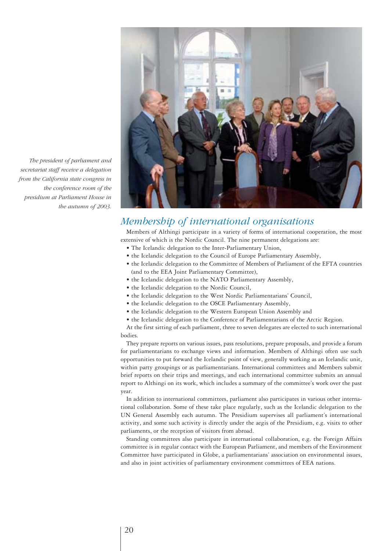

*The president of parliament and secretariat staff receive a delegation from the California state congress in the conference room of the presidium at Parliament House in the autumn of 2003.*

# *Membership of international organisations*

Members of Althingi participate in a variety of forms of international cooperation, the most extensive of which is the Nordic Council. The nine permanent delegations are:

- The Icelandic delegation to the Inter-Parliamentary Union,
- the Icelandic delegation to the Council of Europe Parliamentary Assembly,
- the Icelandic delegation to the Committee of Members of Parliament of the EFTA countries (and to the EEA Joint Parliamentary Committee),
- the Icelandic delegation to the NATO Parliamentary Assembly,
- the Icelandic delegation to the Nordic Council,
- the Icelandic delegation to the West Nordic Parliamentarians' Council,
- the Icelandic delegation to the OSCE Parliamentary Assembly,
- the Icelandic delegation to the Western European Union Assembly and
- the Icelandic delegation to the Conference of Parliamentarians of the Arctic Region.

At the first sitting of each parliament, three to seven delegates are elected to such international bodies.

They prepare reports on various issues, pass resolutions, prepare proposals, and provide a forum for parliamentarians to exchange views and information. Members of Althingi often use such opportunities to put forward the Icelandic point of view, generally working as an Icelandic unit, within party groupings or as parliamentarians. International committees and Members submit brief reports on their trips and meetings, and each international committee submits an annual report to Althingi on its work, which includes a summary of the committee's work over the past year.

In addition to international committees, parliament also participates in various other international collaboration. Some of these take place regularly, such as the Icelandic delegation to the UN General Assembly each autumn. The Presidium supervises all parliament's international activity, and some such activity is directly under the aegis of the Presidium, e.g. visits to other parliaments, or the reception of visitors from abroad.

Standing committees also participate in international collaboration, e.g. the Foreign Affairs committee is in regular contact with the European Parliament, and members of the Environment Committee have participated in Globe, a parliamentarians' association on environmental issues, and also in joint activities of parliamentary environment committees of EEA nations.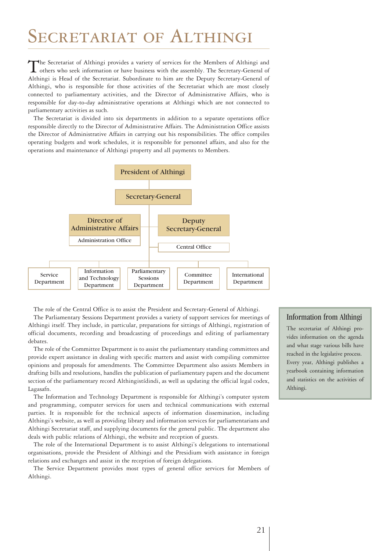# SECRETARIAT OF ALTHINGI

The Secretariat of Althingi provides a variety of services for the Members of Althingi and<br>others who seek information or have business with the assembly. The Secretary-General of Althingi is Head of the Secretariat. Subordinate to him are the Deputy Secretary-General of Althingi, who is responsible for those activities of the Secretariat which are most closely connected to parliamentary activities, and the Director of Administrative Affairs, who is responsible for day-to-day administrative operations at Althingi which are not connected to parliamentary activities as such.

The Secretariat is divided into six departments in addition to a separate operations office responsible directly to the Director of Administrative Affairs. The Administration Office assists the Director of Administrative Affairs in carrying out his responsibilities. The office compiles operating budgets and work schedules, it is responsible for personnel affairs, and also for the operations and maintenance of Althingi property and all payments to Members.



The role of the Central Office is to assist the President and Secretary-General of Althingi.

The Parliamentary Sessions Department provides a variety of support services for meetings of Althingi itself. They include, in particular, preparations for sittings of Althingi, registration of official documents, recording and broadcasting of proceedings and editing of parliamentary debates.

The role of the Committee Department is to assist the parliamentary standing committees and provide expert assistance in dealing with specific matters and assist with compiling committee opinions and proposals for amendments. The Committee Department also assists Members in drafting bills and resolutions, handles the publication of parliamentary papers and the document section of the parliamentary record Althingistídindi, as well as updating the official legal codex, Lagasafn.

The Information and Technology Department is responsible for Althingi's computer system and programming, computer services for users and technical communications with external parties. It is responsible for the technical aspects of information dissemination, including Althingi's website, as well as providing library and information services for parliamentarians and Althingi Secretariat staff, and supplying documents for the general public. The department also deals with public relations of Althingi, the website and reception of guests.

The role of the International Department is to assist Althingi's delegations to international organisations, provide the President of Althingi and the Presidium with assistance in foreign relations and exchanges and assist in the reception of foreign delegations.

The Service Department provides most types of general office services for Members of Althingi.

#### Information from Althingi

The secretariat of Althingi provides information on the agenda and what stage various bills have reached in the legislative process. Every year, Althingi publishes a yearbook containing information and statistics on the activities of Althingi.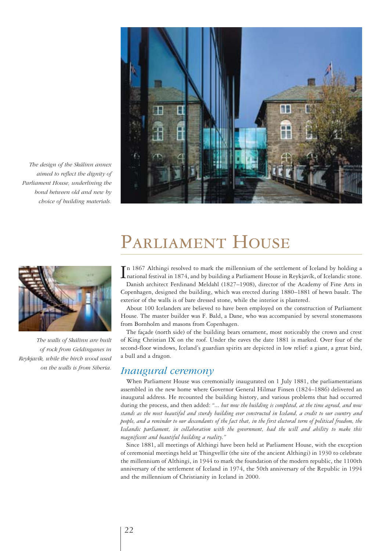

*The design of the Skálinn annex aimed to reflect the dignity of Parliament House, underlining the bond between old and new by choice of building materials.*



*The walls of Skálinn are built of rock from Geldinganes in Reykjavík, while the birch wood used on the walls is from Siberia.*

# PARLIAMENT HOUSE

In 1867 Althingi resolved to mark the millennium of the settlement of Iceland by holding a national festival in 1874, and by building a Parliament House in Reykjavík, of Icelandic stone. national festival in 1874, and by building a Parliament House in Reykjavík, of Icelandic stone. Danish architect Ferdinand Meldahl (1827–1908), director of the Academy of Fine Arts in Copenhagen, designed the building, which was erected during 1880–1881 of hewn basalt. The exterior of the walls is of bare dressed stone, while the interior is plastered.

About 100 Icelanders are believed to have been employed on the construction of Parliament House. The master builder was F. Bald, a Dane, who was accompanied by several stonemasons from Bornholm and masons from Copenhagen.

The façade (north side) of the building bears ornament, most noticeably the crown and crest of King Christian IX on the roof. Under the eaves the date 1881 is marked. Over four of the second-floor windows, Iceland's guardian spirits are depicted in low relief: a giant, a great bird, a bull and a dragon.

### *Inaugural ceremony*

When Parliament House was ceremonially inaugurated on 1 July 1881, the parliamentarians assembled in the new home where Governor General Hilmar Finsen (1824–1886) delivered an inaugural address. He recounted the building history, and various problems that had occurred during the process, and then added: *"... but now the building is completed, at the time agreed, and now stands as the most beautiful and sturdy building ever constructed in Iceland, a credit to our country and people, and a reminder to our descendants of the fact that, in the first electoral term of political freedom, the Icelandic parliament, in collaboration with the government, had the will and ability to make this magnificent and beautiful building a reality."*

Since 1881, all meetings of Althingi have been held at Parliament House, with the exception of ceremonial meetings held at Thingvellir (the site of the ancient Althingi) in 1930 to celebrate the millennium of Althingi, in 1944 to mark the foundation of the modern republic, the 1100th anniversary of the settlement of Iceland in 1974, the 50th anniversary of the Republic in 1994 and the millennium of Christianity in Iceland in 2000.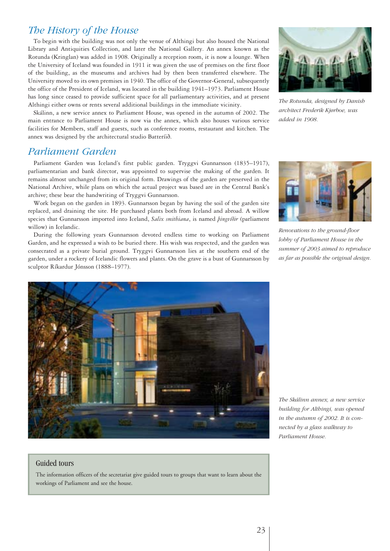# *The History of the House*

To begin with the building was not only the venue of Althingi but also housed the National Library and Antiquities Collection, and later the National Gallery. An annex known as the Rotunda (Kringlan) was added in 1908. Originally a reception room, it is now a lounge. When the University of Iceland was founded in 1911 it was given the use of premises on the first floor of the building, as the museums and archives had by then been transferred elsewhere. The University moved to its own premises in 1940. The office of the Governor-General, subsequently the office of the President of Iceland, was located in the building 1941–1973. Parliament House has long since ceased to provide sufficient space for all parliamentary activities, and at present Althingi either owns or rents several additional buildings in the immediate vicinity.

Skálinn, a new service annex to Parliament House, was opened in the autumn of 2002. The main entrance to Parliament House is now via the annex, which also houses various service facilities for Members, staff and guests, such as conference rooms, restaurant and kitchen. The annex was designed by the architectural studio Batteríið.

# *Parliament Garden*

Parliament Garden was Iceland's first public garden. Tryggvi Gunnarsson (1835–1917), parliamentarian and bank director, was appointed to supervise the making of the garden. It remains almost unchanged from its original form. Drawings of the garden are preserved in the National Archive, while plans on which the actual project was based are in the Central Bank's archive; these bear the handwriting of Tryggvi Gunnarsson.

Work began on the garden in 1893. Gunnarsson began by having the soil of the garden site replaced, and draining the site. He purchased plants both from Iceland and abroad. A willow species that Gunnarsson imported into Iceland, *Salix smithiana*, is named *þingvíðir* (parliament willow) in Icelandic.

During the following years Gunnarsson devoted endless time to working on Parliament Garden, and he expressed a wish to be buried there. His wish was respected, and the garden was consecrated as a private burial ground. Tryggvi Gunnarsson lies at the southern end of the garden, under a rockery of Icelandic flowers and plants. On the grave is a bust of Gunnarsson by sculptor Ríkardur Jónsson (1888–1977).





*Renovations to the ground-floor lobby of Parliament House in the summer of 2003 aimed to reproduce as far as possible the original design.*



#### *The Skálinn annex, a new service building for Althingi, was opened in the autumn of 2002. It is connected by a glass walkway to Parliament House.*

#### Guided tours

The information officers of the secretariat give guided tours to groups that want to learn about the workings of Parliament and see the house.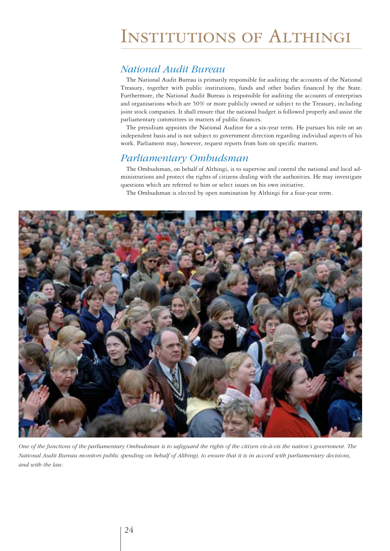# Institutions of Althingi

# *National Audit Bureau*

The National Audit Bureau is primarily responsible for auditing the accounts of the National Treasury, together with public institutions, funds and other bodies financed by the State. Furthermore, the National Audit Bureau is responsible for auditing the accounts of enterprises and organisations which are 50% or more publicly owned or subject to the Treasury, including joint stock companies. It shall ensure that the national budget is followed properly and assist the parliamentary committees in matters of public finances.

The presidium appoints the National Auditor for a six-year term. He pursues his role on an independent basis and is not subject to government direction regarding individual aspects of his work. Parliament may, however, request reports from him on specific matters.

### *Parliamentary Ombudsman*

The Ombudsman, on behalf of Althingi, is to supervise and control the national and local administrations and protect the rights of citizens dealing with the authorities. He may investigate questions which are referred to him or select issues on his own initiative.

The Ombudsman is elected by open nomination by Althingi for a four-year term.



*One of the functions of the parliamentary Ombudsman is to safeguard the rights of the citizen vis-à-vis the nation's government. The National Audit Bureau monitors public spending on behalf of Althingi, to ensure that it is in accord with parliamentary decisions, and with the law.*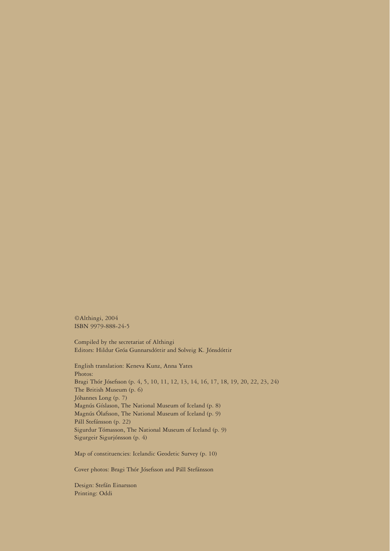©Althingi, 2004 ISBN 9979-888-24-5

Compiled by the secretariat of Althingi Editors: Hildur Gróa Gunnarsdóttir and Solveig K. Jónsdóttir

English translation: Keneva Kunz, Anna Yates Photos: Bragi Thór Jósefsson (p. 4, 5, 10, 11, 12, 13, 14, 16, 17, 18, 19, 20, 22, 23, 24) The British Museum (p. 6) Jóhannes Long (p. 7) Magnús Gíslason, The National Museum of Iceland (p. 8) Magnús Ólafsson, The National Museum of Iceland (p. 9) Páll Stefánsson (p. 22) Sigurdur Tómasson, The National Museum of Iceland (p. 9) Sigurgeir Sigurjónsson (p. 4)

Map of constituencies: Icelandic Geodetic Survey (p. 10)

Cover photos: Bragi Thór Jósefsson and Páll Stefánsson

Design: Stefán Einarsson Printing: Oddi